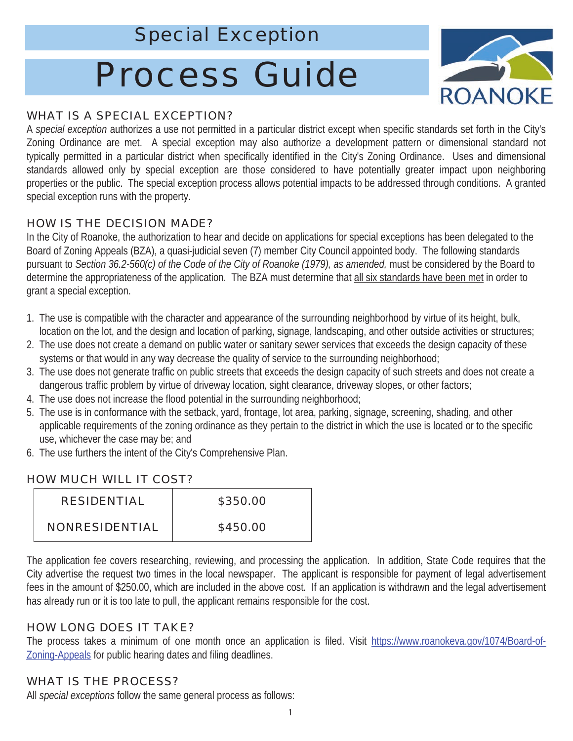# Special Exception

# Process Guide



#### WHAT IS A SPECIAL EXCEPTION?

A *special exception* authorizes a use not permitted in a particular district except when specific standards set forth in the City's Zoning Ordinance are met. A special exception may also authorize a development pattern or dimensional standard not typically permitted in a particular district when specifically identified in the City's Zoning Ordinance. Uses and dimensional standards allowed only by special exception are those considered to have potentially greater impact upon neighboring properties or the public. The special exception process allows potential impacts to be addressed through conditions. A granted special exception runs with the property.

### HOW IS THE DECISION MADE?

In the City of Roanoke, the authorization to hear and decide on applications for special exceptions has been delegated to the Board of Zoning Appeals (BZA), a quasi-judicial seven (7) member City Council appointed body. The following standards pursuant to *Section 36.2-560(c) of the Code of the City of Roanoke (1979), as amended,* must be considered by the Board to determine the appropriateness of the application. The BZA must determine that all six standards have been met in order to grant a special exception.

- 1. The use is compatible with the character and appearance of the surrounding neighborhood by virtue of its height, bulk, location on the lot, and the design and location of parking, signage, landscaping, and other outside activities or structures;
- 2. The use does not create a demand on public water or sanitary sewer services that exceeds the design capacity of these systems or that would in any way decrease the quality of service to the surrounding neighborhood;
- 3. The use does not generate traffic on public streets that exceeds the design capacity of such streets and does not create a dangerous traffic problem by virtue of driveway location, sight clearance, driveway slopes, or other factors;
- 4. The use does not increase the flood potential in the surrounding neighborhood;
- 5. The use is in conformance with the setback, yard, frontage, lot area, parking, signage, screening, shading, and other applicable requirements of the zoning ordinance as they pertain to the district in which the use is located or to the specific use, whichever the case may be; and
- 6. The use furthers the intent of the City's Comprehensive Plan.

#### HOW MUCH WILL IT COST?

| <b>RESIDENTIAL</b>    | \$350.00 |
|-----------------------|----------|
| <b>NONRESIDENTIAL</b> | \$450.00 |

The application fee covers researching, reviewing, and processing the application. In addition, State Code requires that the City advertise the request two times in the local newspaper. The applicant is responsible for payment of legal advertisement fees in the amount of \$250.00, which are included in the above cost. If an application is withdrawn and the legal advertisement has already run or it is too late to pull, the applicant remains responsible for the cost.

# HOW LONG DOES IT TAKE?

The process takes a minimum of one month once an application is filed. Visit https://www.roanokeva.gov/1074/Board-of-Zoning-Appeals for public hearing dates and filing deadlines.

# WHAT IS THE PROCESS?

All *special exceptions* follow the same general process as follows: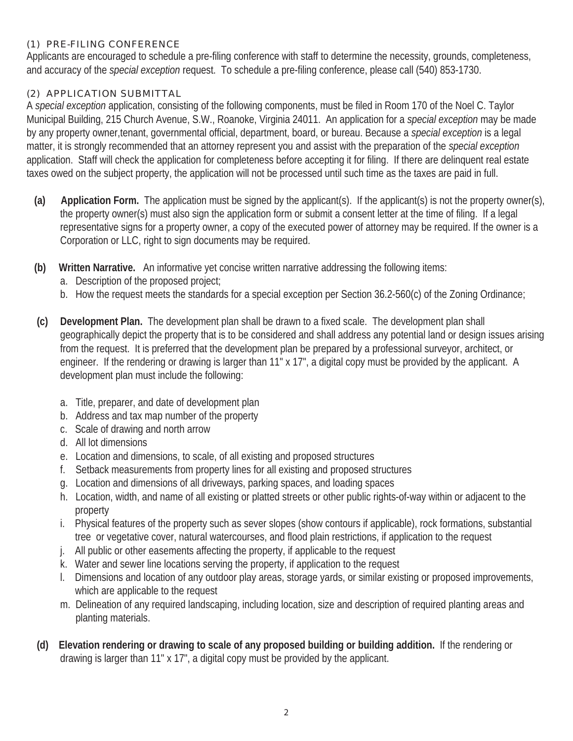#### (1) PRE-FILING CONFERENCE

Applicants are encouraged to schedule a pre-filing conference with staff to determine the necessity, grounds, completeness, and accuracy of the *special exception* request. To schedule a pre-filing conference, please call (540) 853-1730.

#### (2) APPLICATION SUBMITTAL

A *special exception* application, consisting of the following components, must be filed in Room 170 of the Noel C. Taylor Municipal Building, 215 Church Avenue, S.W., Roanoke, Virginia 24011. An application for a *special exception* may be made by any property owner,tenant, governmental official, department, board, or bureau. Because a *special exception* is a legal matter, it is strongly recommended that an attorney represent you and assist with the preparation of the *special exception*  application. Staff will check the application for completeness before accepting it for filing. If there are delinquent real estate taxes owed on the subject property, the application will not be processed until such time as the taxes are paid in full.

- **(a) Application Form.** The application must be signed by the applicant(s). If the applicant(s) is not the property owner(s), the property owner(s) must also sign the application form or submit a consent letter at the time of filing. If a legal representative signs for a property owner, a copy of the executed power of attorney may be required. If the owner is a Corporation or LLC, right to sign documents may be required.
- **(b) Written Narrative.** An informative yet concise written narrative addressing the following items:
	- a. Description of the proposed project;
	- b. How the request meets the standards for a special exception per Section 36.2-560(c) of the Zoning Ordinance;
- **(c) Development Plan.** The development plan shall be drawn to a fixed scale. The development plan shall geographically depict the property that is to be considered and shall address any potential land or design issues arising from the request. It is preferred that the development plan be prepared by a professional surveyor, architect, or engineer. If the rendering or drawing is larger than 11" x 17", a digital copy must be provided by the applicant. A development plan must include the following:
	- a. Title, preparer, and date of development plan
	- b. Address and tax map number of the property
	- c. Scale of drawing and north arrow
	- d. All lot dimensions
	- e. Location and dimensions, to scale, of all existing and proposed structures
	- f. Setback measurements from property lines for all existing and proposed structures
	- g. Location and dimensions of all driveways, parking spaces, and loading spaces
	- h. Location, width, and name of all existing or platted streets or other public rights-of-way within or adjacent to the property
	- i. Physical features of the property such as sever slopes (show contours if applicable), rock formations, substantial tree or vegetative cover, natural watercourses, and flood plain restrictions, if application to the request
	- j. All public or other easements affecting the property, if applicable to the request
	- k. Water and sewer line locations serving the property, if application to the request
	- l. Dimensions and location of any outdoor play areas, storage yards, or similar existing or proposed improvements, which are applicable to the request
	- m. Delineation of any required landscaping, including location, size and description of required planting areas and planting materials.
- **(d) Elevation rendering or drawing to scale of any proposed building or building addition.** If the rendering or drawing is larger than 11" x 17", a digital copy must be provided by the applicant.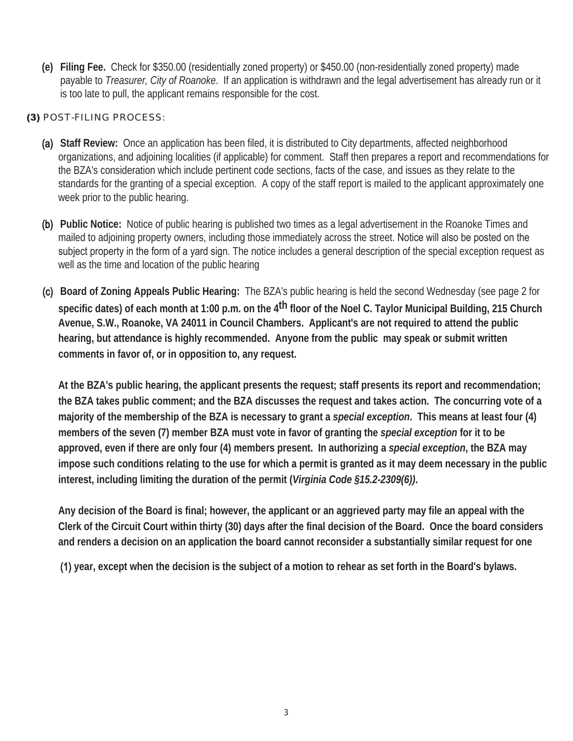**(e) Filing Fee.** Check for \$350.00 (residentially zoned property) or \$450.00 (non-residentially zoned property) made payable to *Treasurer, City of Roanoke*. If an application is withdrawn and the legal advertisement has already run or it is too late to pull, the applicant remains responsible for the cost.

#### (3) POST-FILING PROCESS:

- (a) **Staff Review:** Once an application has been filed, it is distributed to City departments, affected neighborhood organizations, and adjoining localities (if applicable) for comment. Staff then prepares a report and recommendations for the BZA's consideration which include pertinent code sections, facts of the case, and issues as they relate to the standards for the granting of a special exception. A copy of the staff report is mailed to the applicant approximately one week prior to the public hearing.
- (b) **Public Notice:** Notice of public hearing is published two times as a legal advertisement in the Roanoke Times and mailed to adjoining property owners, including those immediately across the street. Notice will also be posted on the subject property in the form of a yard sign. The notice includes a general description of the special exception request as well as the time and location of the public hearing
- (c) **Board of Zoning Appeals Public Hearing:** The BZA's public hearing is held the second Wednesday (see page 2 for **specific dates) of each month at 1:00 p.m. on the 4th floor of the Noel C. Taylor Municipal Building, 215 Church Avenue, S.W., Roanoke, VA 24011 in Council Chambers. Applicant's are not required to attend the public hearing, but attendance is highly recommended. Anyone from the public may speak or submit written comments in favor of, or in opposition to, any request.**

**At the BZA's public hearing, the applicant presents the request; staff presents its report and recommendation; the BZA takes public comment; and the BZA discusses the request and takes action. The concurring vote of a majority of the membership of the BZA is necessary to grant a** *special exception***. This means at least four (4) members of the seven (7) member BZA must vote in favor of granting the** *special exception* **for it to be approved, even if there are only four (4) members present. In authorizing a** *special exception***, the BZA may impose such conditions relating to the use for which a permit is granted as it may deem necessary in the public interest, including limiting the duration of the permit (***Virginia Code §15.2-2309(6))***.**

**Any decision of the Board is final; however, the applicant or an aggrieved party may file an appeal with the Clerk of the Circuit Court within thirty (30) days after the final decision of the Board. Once the board considers and renders a decision on an application the board cannot reconsider a substantially similar request for one**

(1) **year, except when the decision is the subject of a motion to rehear as set forth in the Board's bylaws.**